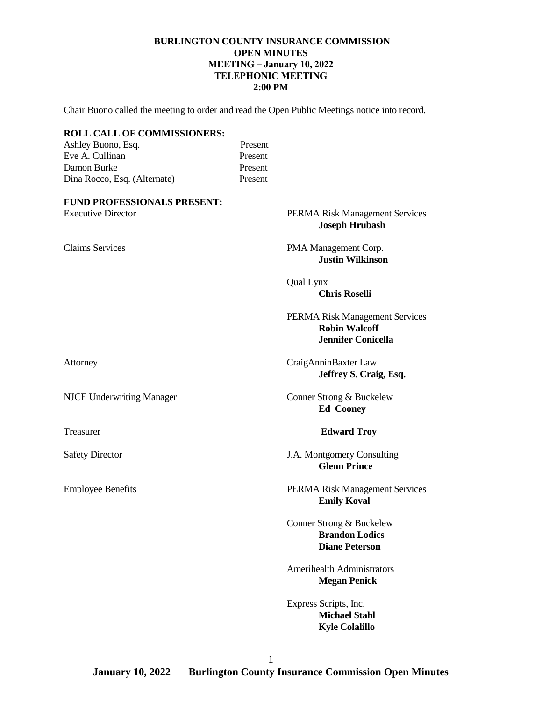# **BURLINGTON COUNTY INSURANCE COMMISSION OPEN MINUTES MEETING – January 10, 2022 TELEPHONIC MEETING 2:00 PM**

Chair Buono called the meeting to order and read the Open Public Meetings notice into record.

| <b>ROLL CALL OF COMMISSIONERS:</b> |         |                                                                                     |
|------------------------------------|---------|-------------------------------------------------------------------------------------|
| Ashley Buono, Esq.                 | Present |                                                                                     |
| Eve A. Cullinan                    | Present |                                                                                     |
| Damon Burke                        | Present |                                                                                     |
| Dina Rocco, Esq. (Alternate)       | Present |                                                                                     |
| <b>FUND PROFESSIONALS PRESENT:</b> |         |                                                                                     |
| <b>Executive Director</b>          |         | PERMA Risk Management Services<br><b>Joseph Hrubash</b>                             |
| <b>Claims Services</b>             |         | PMA Management Corp.<br><b>Justin Wilkinson</b>                                     |
|                                    |         | Qual Lynx<br><b>Chris Roselli</b>                                                   |
|                                    |         | PERMA Risk Management Services<br><b>Robin Walcoff</b><br><b>Jennifer Conicella</b> |
| Attorney                           |         | CraigAnninBaxter Law<br>Jeffrey S. Craig, Esq.                                      |
| <b>NJCE Underwriting Manager</b>   |         | Conner Strong & Buckelew<br><b>Ed Cooney</b>                                        |
| Treasurer                          |         | <b>Edward Troy</b>                                                                  |
| <b>Safety Director</b>             |         | J.A. Montgomery Consulting<br><b>Glenn Prince</b>                                   |
| <b>Employee Benefits</b>           |         | PERMA Risk Management Services<br><b>Emily Koval</b>                                |
|                                    |         | Conner Strong & Buckelew<br><b>Brandon Lodics</b><br><b>Diane Peterson</b>          |
|                                    |         | <b>Amerihealth Administrators</b><br><b>Megan Penick</b>                            |
|                                    |         | Express Scripts, Inc.<br><b>Michael Stahl</b><br><b>Kyle Colalillo</b>              |
|                                    |         |                                                                                     |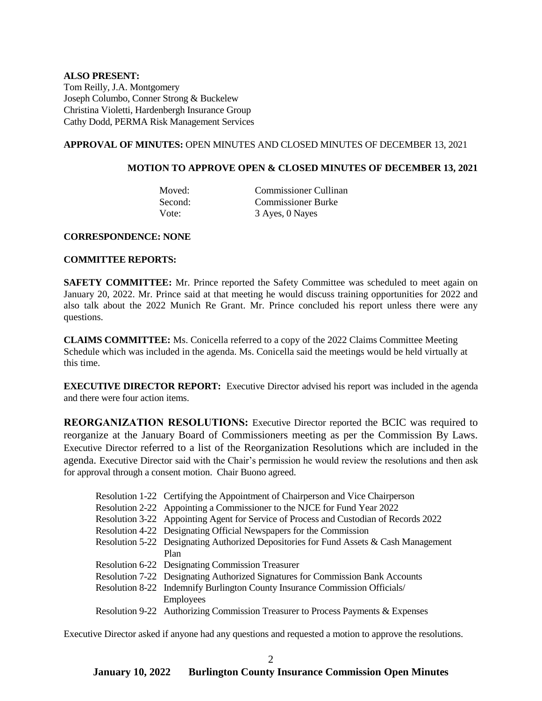## **ALSO PRESENT:** Tom Reilly, J.A. Montgomery Joseph Columbo, Conner Strong & Buckelew Christina Violetti, Hardenbergh Insurance Group Cathy Dodd, PERMA Risk Management Services

#### **APPROVAL OF MINUTES:** OPEN MINUTES AND CLOSED MINUTES OF DECEMBER 13, 2021

#### **MOTION TO APPROVE OPEN & CLOSED MINUTES OF DECEMBER 13, 2021**

Moved: Commissioner Cullinan Second: Commissioner Burke Vote: 3 Ayes, 0 Nayes

#### **CORRESPONDENCE: NONE**

#### **COMMITTEE REPORTS:**

**SAFETY COMMITTEE:** Mr. Prince reported the Safety Committee was scheduled to meet again on January 20, 2022. Mr. Prince said at that meeting he would discuss training opportunities for 2022 and also talk about the 2022 Munich Re Grant. Mr. Prince concluded his report unless there were any questions.

**CLAIMS COMMITTEE:** Ms. Conicella referred to a copy of the 2022 Claims Committee Meeting Schedule which was included in the agenda. Ms. Conicella said the meetings would be held virtually at this time.

**EXECUTIVE DIRECTOR REPORT:** Executive Director advised his report was included in the agenda and there were four action items.

**REORGANIZATION RESOLUTIONS:** Executive Director reported the BCIC was required to reorganize at the January Board of Commissioners meeting as per the Commission By Laws. Executive Director referred to a list of the Reorganization Resolutions which are included in the agenda. Executive Director said with the Chair's permission he would review the resolutions and then ask for approval through a consent motion. Chair Buono agreed.

- Resolution 1-22 Certifying the Appointment of Chairperson and Vice Chairperson
- Resolution 2-22 Appointing a Commissioner to the NJCE for Fund Year 2022
- Resolution 3-22 Appointing Agent for Service of Process and Custodian of Records 2022
- Resolution 4-22 Designating Official Newspapers for the Commission
- Resolution 5-22 Designating Authorized Depositories for Fund Assets & Cash Management Plan
- Resolution 6-22 Designating Commission Treasurer
- Resolution 7-22 Designating Authorized Signatures for Commission Bank Accounts
- Resolution 8-22 Indemnify Burlington County Insurance Commission Officials/ Employees
- Resolution 9-22 Authorizing Commission Treasurer to Process Payments & Expenses

Executive Director asked if anyone had any questions and requested a motion to approve the resolutions.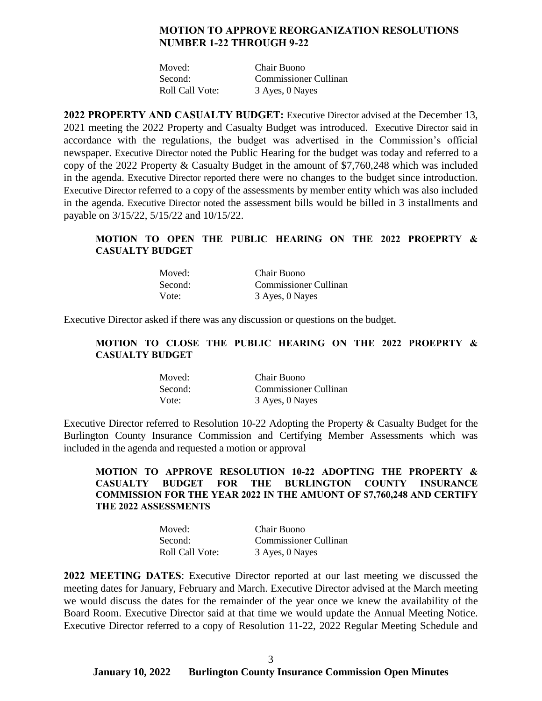# **MOTION TO APPROVE REORGANIZATION RESOLUTIONS NUMBER 1-22 THROUGH 9-22**

| Moved:          | Chair Buono                  |
|-----------------|------------------------------|
| Second:         | <b>Commissioner Cullinan</b> |
| Roll Call Vote: | 3 Ayes, 0 Nayes              |

**2022 PROPERTY AND CASUALTY BUDGET:** Executive Director advised at the December 13, 2021 meeting the 2022 Property and Casualty Budget was introduced. Executive Director said in accordance with the regulations, the budget was advertised in the Commission's official newspaper. Executive Director noted the Public Hearing for the budget was today and referred to a copy of the 2022 Property & Casualty Budget in the amount of \$7,760,248 which was included in the agenda. Executive Director reported there were no changes to the budget since introduction. Executive Director referred to a copy of the assessments by member entity which was also included in the agenda. Executive Director noted the assessment bills would be billed in 3 installments and payable on 3/15/22, 5/15/22 and 10/15/22.

# **MOTION TO OPEN THE PUBLIC HEARING ON THE 2022 PROEPRTY & CASUALTY BUDGET**

| Moved:  | Chair Buono                  |
|---------|------------------------------|
| Second: | <b>Commissioner Cullinan</b> |
| Vote:   | 3 Ayes, 0 Nayes              |

Executive Director asked if there was any discussion or questions on the budget.

# **MOTION TO CLOSE THE PUBLIC HEARING ON THE 2022 PROEPRTY & CASUALTY BUDGET**

| Moved:  | Chair Buono           |
|---------|-----------------------|
| Second: | Commissioner Cullinan |
| Vote:   | 3 Ayes, 0 Nayes       |

Executive Director referred to Resolution 10-22 Adopting the Property & Casualty Budget for the Burlington County Insurance Commission and Certifying Member Assessments which was included in the agenda and requested a motion or approval

# **MOTION TO APPROVE RESOLUTION 10-22 ADOPTING THE PROPERTY & CASUALTY BUDGET FOR THE BURLINGTON COUNTY INSURANCE COMMISSION FOR THE YEAR 2022 IN THE AMUONT OF \$7,760,248 AND CERTIFY THE 2022 ASSESSMENTS**

| Moved:          | Chair Buono           |
|-----------------|-----------------------|
| Second:         | Commissioner Cullinan |
| Roll Call Vote: | 3 Ayes, 0 Nayes       |

**2022 MEETING DATES**: Executive Director reported at our last meeting we discussed the meeting dates for January, February and March. Executive Director advised at the March meeting we would discuss the dates for the remainder of the year once we knew the availability of the Board Room. Executive Director said at that time we would update the Annual Meeting Notice. Executive Director referred to a copy of Resolution 11-22, 2022 Regular Meeting Schedule and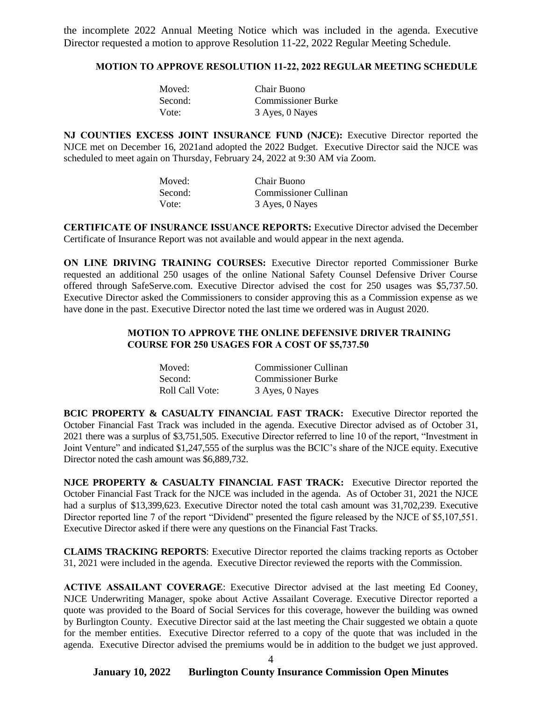the incomplete 2022 Annual Meeting Notice which was included in the agenda. Executive Director requested a motion to approve Resolution 11-22, 2022 Regular Meeting Schedule.

#### **MOTION TO APPROVE RESOLUTION 11-22, 2022 REGULAR MEETING SCHEDULE**

| Moved:  | Chair Buono               |
|---------|---------------------------|
| Second: | <b>Commissioner Burke</b> |
| Vote:   | 3 Ayes, 0 Nayes           |

**NJ COUNTIES EXCESS JOINT INSURANCE FUND (NJCE):** Executive Director reported the NJCE met on December 16, 2021and adopted the 2022 Budget. Executive Director said the NJCE was scheduled to meet again on Thursday, February 24, 2022 at 9:30 AM via Zoom.

| Moved:  | Chair Buono           |
|---------|-----------------------|
| Second: | Commissioner Cullinan |
| Vote:   | 3 Ayes, 0 Nayes       |

**CERTIFICATE OF INSURANCE ISSUANCE REPORTS:** Executive Director advised the December Certificate of Insurance Report was not available and would appear in the next agenda.

**ON LINE DRIVING TRAINING COURSES:** Executive Director reported Commissioner Burke requested an additional 250 usages of the online National Safety Counsel Defensive Driver Course offered through SafeServe.com. Executive Director advised the cost for 250 usages was \$5,737.50. Executive Director asked the Commissioners to consider approving this as a Commission expense as we have done in the past. Executive Director noted the last time we ordered was in August 2020.

### **MOTION TO APPROVE THE ONLINE DEFENSIVE DRIVER TRAINING COURSE FOR 250 USAGES FOR A COST OF \$5,737.50**

| Moved:          | Commissioner Cullinan     |
|-----------------|---------------------------|
| Second:         | <b>Commissioner Burke</b> |
| Roll Call Vote: | 3 Ayes, 0 Nayes           |

**BCIC PROPERTY & CASUALTY FINANCIAL FAST TRACK:** Executive Director reported the October Financial Fast Track was included in the agenda. Executive Director advised as of October 31, 2021 there was a surplus of \$3,751,505. Executive Director referred to line 10 of the report, "Investment in Joint Venture" and indicated \$1,247,555 of the surplus was the BCIC's share of the NJCE equity. Executive Director noted the cash amount was \$6,889,732.

**NJCE PROPERTY & CASUALTY FINANCIAL FAST TRACK:** Executive Director reported the October Financial Fast Track for the NJCE was included in the agenda. As of October 31, 2021 the NJCE had a surplus of \$13,399,623. Executive Director noted the total cash amount was 31,702,239. Executive Director reported line 7 of the report "Dividend" presented the figure released by the NJCE of \$5,107,551. Executive Director asked if there were any questions on the Financial Fast Tracks.

**CLAIMS TRACKING REPORTS**: Executive Director reported the claims tracking reports as October 31, 2021 were included in the agenda. Executive Director reviewed the reports with the Commission.

**ACTIVE ASSAILANT COVERAGE**: Executive Director advised at the last meeting Ed Cooney, NJCE Underwriting Manager, spoke about Active Assailant Coverage. Executive Director reported a quote was provided to the Board of Social Services for this coverage, however the building was owned by Burlington County. Executive Director said at the last meeting the Chair suggested we obtain a quote for the member entities. Executive Director referred to a copy of the quote that was included in the agenda. Executive Director advised the premiums would be in addition to the budget we just approved.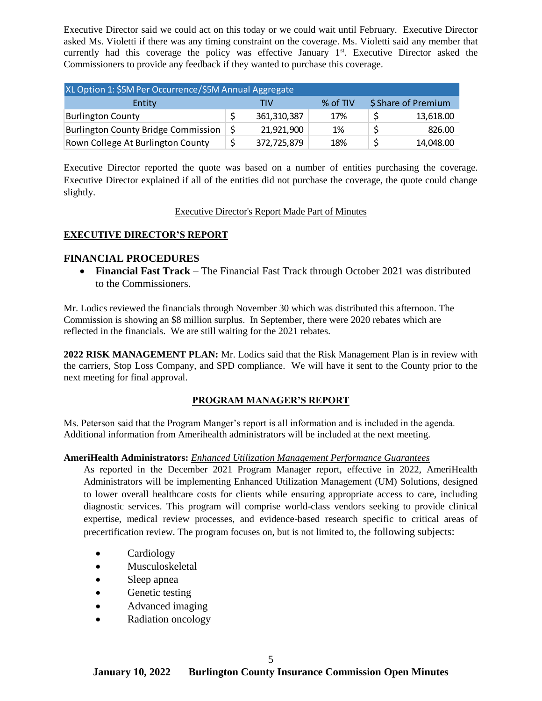Executive Director said we could act on this today or we could wait until February. Executive Director asked Ms. Violetti if there was any timing constraint on the coverage. Ms. Violetti said any member that currently had this coverage the policy was effective January  $1<sup>st</sup>$ . Executive Director asked the Commissioners to provide any feedback if they wanted to purchase this coverage.

| XL Option 1: \$5M Per Occurrence/\$5M Annual Aggregate |  |             |          |                     |
|--------------------------------------------------------|--|-------------|----------|---------------------|
| Entity                                                 |  | TIV         | % of TIV | \$ Share of Premium |
| <b>Burlington County</b>                               |  | 361,310,387 | 17%      | 13,618.00           |
| <b>Burlington County Bridge Commission</b>             |  | 21,921,900  | 1%       | 826.00              |
| Rown College At Burlington County                      |  | 372,725,879 | 18%      | 14,048.00           |

Executive Director reported the quote was based on a number of entities purchasing the coverage. Executive Director explained if all of the entities did not purchase the coverage, the quote could change slightly.

## Executive Director's Report Made Part of Minutes

# **EXECUTIVE DIRECTOR'S REPORT**

# **FINANCIAL PROCEDURES**

 **Financial Fast Track** – The Financial Fast Track through October 2021 was distributed to the Commissioners.

Mr. Lodics reviewed the financials through November 30 which was distributed this afternoon. The Commission is showing an \$8 million surplus. In September, there were 2020 rebates which are reflected in the financials. We are still waiting for the 2021 rebates.

**2022 RISK MANAGEMENT PLAN:** Mr. Lodics said that the Risk Management Plan is in review with the carriers, Stop Loss Company, and SPD compliance. We will have it sent to the County prior to the next meeting for final approval.

#### **PROGRAM MANAGER'S REPORT**

Ms. Peterson said that the Program Manger's report is all information and is included in the agenda. Additional information from Amerihealth administrators will be included at the next meeting.

#### **AmeriHealth Administrators:** *Enhanced Utilization Management Performance Guarantees*

As reported in the December 2021 Program Manager report, effective in 2022, AmeriHealth Administrators will be implementing Enhanced Utilization Management (UM) Solutions, designed to lower overall healthcare costs for clients while ensuring appropriate access to care, including diagnostic services. This program will comprise world-class vendors seeking to provide clinical expertise, medical review processes, and evidence-based research specific to critical areas of precertification review. The program focuses on, but is not limited to, the following subjects:

- Cardiology
- Musculoskeletal
- Sleep apnea
- Genetic testing
- Advanced imaging
- Radiation oncology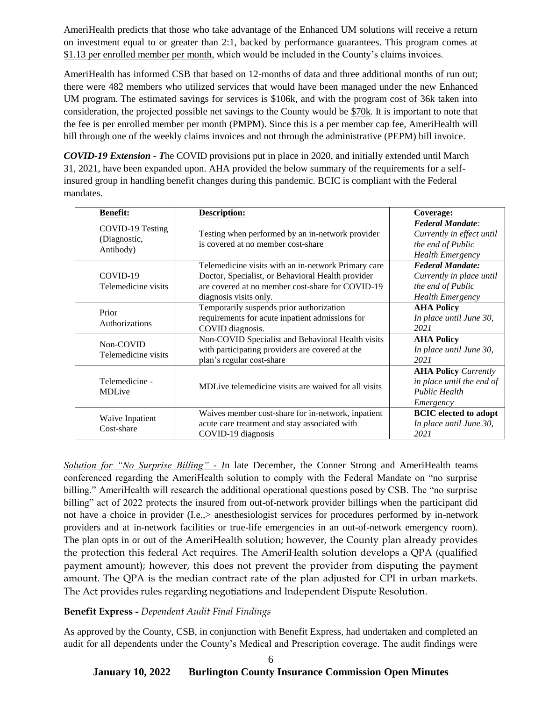AmeriHealth predicts that those who take advantage of the Enhanced UM solutions will receive a return on investment equal to or greater than 2:1, backed by performance guarantees. This program comes at \$1.13 per enrolled member per month, which would be included in the County's claims invoices.

AmeriHealth has informed CSB that based on 12-months of data and three additional months of run out; there were 482 members who utilized services that would have been managed under the new Enhanced UM program. The estimated savings for services is \$106k, and with the program cost of 36k taken into consideration, the projected possible net savings to the County would be \$70k. It is important to note that the fee is per enrolled member per month (PMPM). Since this is a per member cap fee, AmeriHealth will bill through one of the weekly claims invoices and not through the administrative (PEPM) bill invoice.

*COVID-19 Extension - T*he COVID provisions put in place in 2020, and initially extended until March 31, 2021, have been expanded upon. AHA provided the below summary of the requirements for a selfinsured group in handling benefit changes during this pandemic. BCIC is compliant with the Federal mandates.

| <b>Benefit:</b>                               | Description:                                                                                                                                                                           | Coverage:                                                                                            |
|-----------------------------------------------|----------------------------------------------------------------------------------------------------------------------------------------------------------------------------------------|------------------------------------------------------------------------------------------------------|
| COVID-19 Testing<br>(Diagnostic,<br>Antibody) | Testing when performed by an in-network provider<br>is covered at no member cost-share                                                                                                 | <b>Federal Mandate:</b><br>Currently in effect until<br>the end of Public<br><b>Health Emergency</b> |
| COVID-19<br>Telemedicine visits               | Telemedicine visits with an in-network Primary care<br>Doctor, Specialist, or Behavioral Health provider<br>are covered at no member cost-share for COVID-19<br>diagnosis visits only. | <b>Federal Mandate:</b><br>Currently in place until<br>the end of Public<br><b>Health Emergency</b>  |
| Prior<br>Authorizations                       | Temporarily suspends prior authorization<br>requirements for acute inpatient admissions for<br>COVID diagnosis.                                                                        | <b>AHA Policy</b><br>In place until June 30,<br>2021                                                 |
| Non-COVID<br>Telemedicine visits              | Non-COVID Specialist and Behavioral Health visits<br>with participating providers are covered at the<br>plan's regular cost-share                                                      | <b>AHA Policy</b><br>In place until June 30,<br>2021                                                 |
| Telemedicine -<br><b>MDLive</b>               | MDLive telemedicine visits are waived for all visits                                                                                                                                   | <b>AHA Policy Currently</b><br>in place until the end of<br><b>Public Health</b><br>Emergency        |
| Waive Inpatient<br>Cost-share                 | Waives member cost-share for in-network, inpatient<br>acute care treatment and stay associated with<br>COVID-19 diagnosis                                                              | <b>BCIC</b> elected to adopt<br>In place until June 30,<br>2021                                      |

*Solution for "No Surprise Billing" - I*n late December, the Conner Strong and AmeriHealth teams conferenced regarding the AmeriHealth solution to comply with the Federal Mandate on "no surprise billing." AmeriHealth will research the additional operational questions posed by CSB. The "no surprise billing" act of 2022 protects the insured from out-of-network provider billings when the participant did not have a choice in provider (I.e.,> anesthesiologist services for procedures performed by in-network providers and at in-network facilities or true-life emergencies in an out-of-network emergency room). The plan opts in or out of the AmeriHealth solution; however, the County plan already provides the protection this federal Act requires. The AmeriHealth solution develops a QPA (qualified payment amount); however, this does not prevent the provider from disputing the payment amount. The QPA is the median contract rate of the plan adjusted for CPI in urban markets. The Act provides rules regarding negotiations and Independent Dispute Resolution.

# **Benefit Express -** *Dependent Audit Final Findings*

As approved by the County, CSB, in conjunction with Benefit Express, had undertaken and completed an audit for all dependents under the County's Medical and Prescription coverage. The audit findings were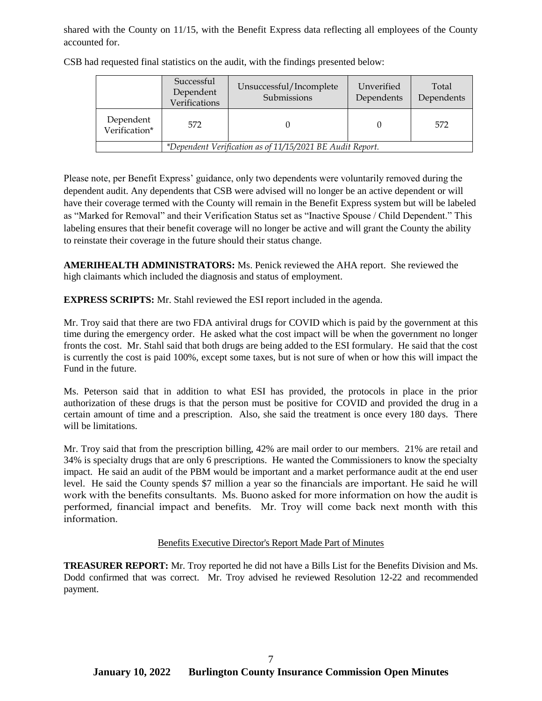shared with the County on 11/15, with the Benefit Express data reflecting all employees of the County accounted for.

|                                                           | Successful<br>Dependent<br>Verifications | Unsuccessful/Incomplete<br>Submissions | Unverified<br>Dependents | Total<br>Dependents |
|-----------------------------------------------------------|------------------------------------------|----------------------------------------|--------------------------|---------------------|
| Dependent<br>Verification*                                | 572                                      |                                        |                          | 572                 |
| *Dependent Verification as of 11/15/2021 BE Audit Report. |                                          |                                        |                          |                     |

CSB had requested final statistics on the audit, with the findings presented below:

Please note, per Benefit Express' guidance, only two dependents were voluntarily removed during the dependent audit. Any dependents that CSB were advised will no longer be an active dependent or will have their coverage termed with the County will remain in the Benefit Express system but will be labeled as "Marked for Removal" and their Verification Status set as "Inactive Spouse / Child Dependent." This labeling ensures that their benefit coverage will no longer be active and will grant the County the ability to reinstate their coverage in the future should their status change.

**AMERIHEALTH ADMINISTRATORS:** Ms. Penick reviewed the AHA report. She reviewed the high claimants which included the diagnosis and status of employment.

**EXPRESS SCRIPTS:** Mr. Stahl reviewed the ESI report included in the agenda.

Mr. Troy said that there are two FDA antiviral drugs for COVID which is paid by the government at this time during the emergency order. He asked what the cost impact will be when the government no longer fronts the cost. Mr. Stahl said that both drugs are being added to the ESI formulary. He said that the cost is currently the cost is paid 100%, except some taxes, but is not sure of when or how this will impact the Fund in the future.

Ms. Peterson said that in addition to what ESI has provided, the protocols in place in the prior authorization of these drugs is that the person must be positive for COVID and provided the drug in a certain amount of time and a prescription. Also, she said the treatment is once every 180 days. There will be limitations.

Mr. Troy said that from the prescription billing, 42% are mail order to our members. 21% are retail and 34% is specialty drugs that are only 6 prescriptions. He wanted the Commissioners to know the specialty impact. He said an audit of the PBM would be important and a market performance audit at the end user level. He said the County spends \$7 million a year so the financials are important. He said he will work with the benefits consultants. Ms. Buono asked for more information on how the audit is performed, financial impact and benefits. Mr. Troy will come back next month with this information.

# Benefits Executive Director's Report Made Part of Minutes

**TREASURER REPORT:** Mr. Troy reported he did not have a Bills List for the Benefits Division and Ms. Dodd confirmed that was correct. Mr. Troy advised he reviewed Resolution 12-22 and recommended payment.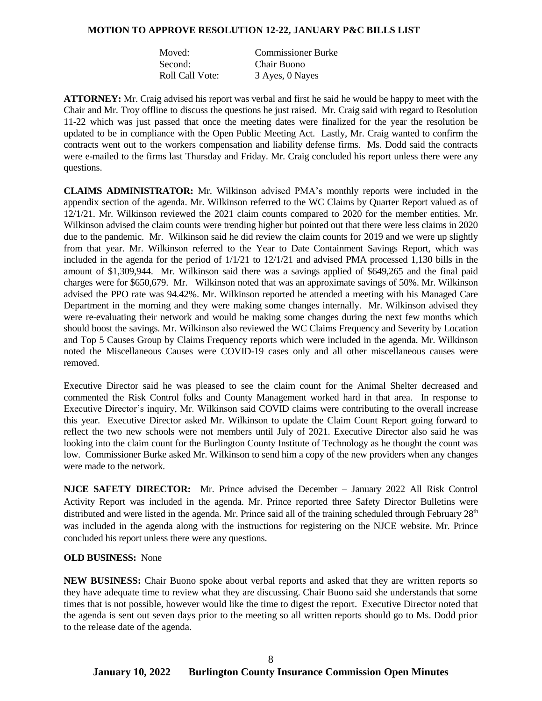#### **MOTION TO APPROVE RESOLUTION 12-22, JANUARY P&C BILLS LIST**

| Moved:          | <b>Commissioner Burke</b> |
|-----------------|---------------------------|
| Second:         | Chair Buono               |
| Roll Call Vote: | 3 Ayes, 0 Nayes           |

**ATTORNEY:** Mr. Craig advised his report was verbal and first he said he would be happy to meet with the Chair and Mr. Troy offline to discuss the questions he just raised. Mr. Craig said with regard to Resolution 11-22 which was just passed that once the meeting dates were finalized for the year the resolution be updated to be in compliance with the Open Public Meeting Act. Lastly, Mr. Craig wanted to confirm the contracts went out to the workers compensation and liability defense firms. Ms. Dodd said the contracts were e-mailed to the firms last Thursday and Friday. Mr. Craig concluded his report unless there were any questions.

**CLAIMS ADMINISTRATOR:** Mr. Wilkinson advised PMA's monthly reports were included in the appendix section of the agenda. Mr. Wilkinson referred to the WC Claims by Quarter Report valued as of 12/1/21. Mr. Wilkinson reviewed the 2021 claim counts compared to 2020 for the member entities. Mr. Wilkinson advised the claim counts were trending higher but pointed out that there were less claims in 2020 due to the pandemic. Mr. Wilkinson said he did review the claim counts for 2019 and we were up slightly from that year. Mr. Wilkinson referred to the Year to Date Containment Savings Report, which was included in the agenda for the period of  $1/1/21$  to  $12/1/21$  and advised PMA processed 1,130 bills in the amount of \$1,309,944. Mr. Wilkinson said there was a savings applied of \$649,265 and the final paid charges were for \$650,679. Mr. Wilkinson noted that was an approximate savings of 50%. Mr. Wilkinson advised the PPO rate was 94.42%. Mr. Wilkinson reported he attended a meeting with his Managed Care Department in the morning and they were making some changes internally. Mr. Wilkinson advised they were re-evaluating their network and would be making some changes during the next few months which should boost the savings. Mr. Wilkinson also reviewed the WC Claims Frequency and Severity by Location and Top 5 Causes Group by Claims Frequency reports which were included in the agenda. Mr. Wilkinson noted the Miscellaneous Causes were COVID-19 cases only and all other miscellaneous causes were removed.

Executive Director said he was pleased to see the claim count for the Animal Shelter decreased and commented the Risk Control folks and County Management worked hard in that area. In response to Executive Director's inquiry, Mr. Wilkinson said COVID claims were contributing to the overall increase this year. Executive Director asked Mr. Wilkinson to update the Claim Count Report going forward to reflect the two new schools were not members until July of 2021. Executive Director also said he was looking into the claim count for the Burlington County Institute of Technology as he thought the count was low. Commissioner Burke asked Mr. Wilkinson to send him a copy of the new providers when any changes were made to the network.

**NJCE SAFETY DIRECTOR:** Mr. Prince advised the December – January 2022 All Risk Control Activity Report was included in the agenda. Mr. Prince reported three Safety Director Bulletins were distributed and were listed in the agenda. Mr. Prince said all of the training scheduled through February 28<sup>th</sup> was included in the agenda along with the instructions for registering on the NJCE website. Mr. Prince concluded his report unless there were any questions.

#### **OLD BUSINESS:** None

**NEW BUSINESS:** Chair Buono spoke about verbal reports and asked that they are written reports so they have adequate time to review what they are discussing. Chair Buono said she understands that some times that is not possible, however would like the time to digest the report. Executive Director noted that the agenda is sent out seven days prior to the meeting so all written reports should go to Ms. Dodd prior to the release date of the agenda.